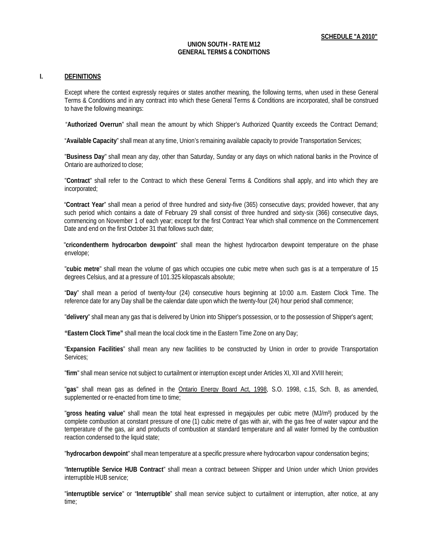#### **UNION SOUTH - RATE M12 GENERAL TERMS & CONDITIONS**

#### **I. DEFINITIONS**

Except where the context expressly requires or states another meaning, the following terms, when used in these General Terms & Conditions and in any contract into which these General Terms & Conditions are incorporated, shall be construed to have the following meanings:

"**Authorized Overrun**" shall mean the amount by which Shipper's Authorized Quantity exceeds the Contract Demand;

"**Available Capacity**" shall mean at any time, Union's remaining available capacity to provide Transportation Services;

"**Business Day**" shall mean any day, other than Saturday, Sunday or any days on which national banks in the Province of Ontario are authorized to close;

"**Contract**" shall refer to the Contract to which these General Terms & Conditions shall apply, and into which they are incorporated;

"**Contract Year**" shall mean a period of three hundred and sixty-five (365) consecutive days; provided however, that any such period which contains a date of February 29 shall consist of three hundred and sixty-six (366) consecutive days, commencing on November 1 of each year; except for the first Contract Year which shall commence on the Commencement Date and end on the first October 31 that follows such date;

"**cricondentherm hydrocarbon dewpoint**" shall mean the highest hydrocarbon dewpoint temperature on the phase envelope;

"**cubic metre**" shall mean the volume of gas which occupies one cubic metre when such gas is at a temperature of 15 degrees Celsius, and at a pressure of 101.325 kilopascals absolute;

"**Day**" shall mean a period of twenty-four (24) consecutive hours beginning at 10:00 a.m. Eastern Clock Time. The reference date for any Day shall be the calendar date upon which the twenty-four (24) hour period shall commence;

"**delivery**" shall mean any gas that is delivered by Union into Shipper's possession, or to the possession of Shipper's agent;

**"Eastern Clock Time"** shall mean the local clock time in the Eastern Time Zone on any Day;

"**Expansion Facilities**" shall mean any new facilities to be constructed by Union in order to provide Transportation Services;

"**firm**" shall mean service not subject to curtailment or interruption except under Articles XI, XII and XVIII herein;

"**gas**" shall mean gas as defined in the Ontario Energy Board Act, 1998, S.O. 1998, c.15, Sch. B, as amended, supplemented or re-enacted from time to time;

"**gross heating value**" shall mean the total heat expressed in megajoules per cubic metre (MJ/m³) produced by the complete combustion at constant pressure of one (1) cubic metre of gas with air, with the gas free of water vapour and the temperature of the gas, air and products of combustion at standard temperature and all water formed by the combustion reaction condensed to the liquid state;

"**hydrocarbon dewpoint**" shall mean temperature at a specific pressure where hydrocarbon vapour condensation begins;

"**Interruptible Service HUB Contract**" shall mean a contract between Shipper and Union under which Union provides interruptible HUB service;

"**interruptible service**" or "**Interruptible**" shall mean service subject to curtailment or interruption, after notice, at any time;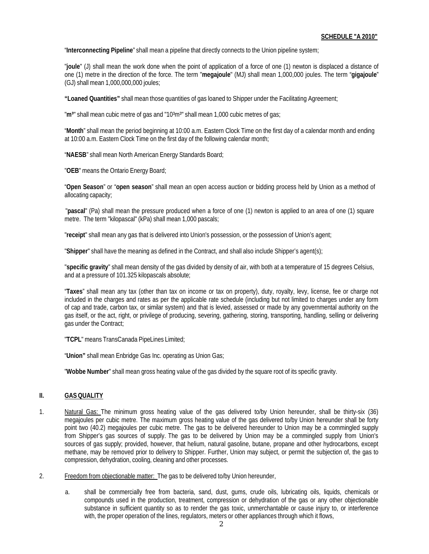"**Interconnecting Pipeline**" shall mean a pipeline that directly connects to the Union pipeline system;

"**joule**" (J) shall mean the work done when the point of application of a force of one (1) newton is displaced a distance of one (1) metre in the direction of the force. The term "**megajoule**" (MJ) shall mean 1,000,000 joules. The term "**gigajoule**" (GJ) shall mean 1,000,000,000 joules;

**"Loaned Quantities"** shall mean those quantities of gas loaned to Shipper under the Facilitating Agreement;

"m<sup>3</sup>" shall mean cubic metre of gas and "10<sup>3</sup>m<sup>3</sup>" shall mean 1,000 cubic metres of gas;

"**Month**" shall mean the period beginning at 10:00 a.m. Eastern Clock Time on the first day of a calendar month and ending at 10:00 a.m. Eastern Clock Time on the first day of the following calendar month;

"**NAESB**" shall mean North American Energy Standards Board;

"**OEB**" means the Ontario Energy Board;

"**Open Season**" or "**open season**" shall mean an open access auction or bidding process held by Union as a method of allocating capacity;

"**pascal**" (Pa) shall mean the pressure produced when a force of one (1) newton is applied to an area of one (1) square metre. The term "kilopascal" (kPa) shall mean 1,000 pascals;

"**receipt**" shall mean any gas that is delivered into Union's possession, or the possession of Union's agent;

"**Shipper**" shall have the meaning as defined in the Contract, and shall also include Shipper's agent(s);

"**specific gravity**" shall mean density of the gas divided by density of air, with both at a temperature of 15 degrees Celsius, and at a pressure of 101.325 kilopascals absolute;

"**Taxes**" shall mean any tax (other than tax on income or tax on property), duty, royalty, levy, license, fee or charge not included in the charges and rates as per the applicable rate schedule (including but not limited to charges under any form of cap and trade, carbon tax, or similar system) and that is levied, assessed or made by any governmental authority on the gas itself, or the act, right, or privilege of producing, severing, gathering, storing, transporting, handling, selling or delivering gas under the Contract;

"**TCPL**" means TransCanada PipeLines Limited;

"**Union"** shall mean Enbridge Gas Inc. operating as Union Gas;

"**Wobbe Number**" shall mean gross heating value of the gas divided by the square root of its specific gravity.

### **II. GASQUALITY**

- 1. Natural Gas: The minimum gross heating value of the gas delivered to/by Union hereunder, shall be thirty-six (36) megajoules per cubic metre. The maximum gross heating value of the gas delivered to/by Union hereunder shall be forty point two (40.2) megajoules per cubic metre. The gas to be delivered hereunder to Union may be a commingled supply from Shipper's gas sources of supply. The gas to be delivered by Union may be a commingled supply from Union's sources of gas supply; provided, however, that helium, natural gasoline, butane, propane and other hydrocarbons, except methane, may be removed prior to delivery to Shipper. Further, Union may subject, or permit the subjection of, the gas to compression, dehydration, cooling, cleaning and other processes.
- 2. Freedom from objectionable matter: The gas to be delivered to/by Union hereunder,
	- a. shall be commercially free from bacteria, sand, dust, gums, crude oils, lubricating oils, liquids, chemicals or compounds used in the production, treatment, compression or dehydration of the gas or any other objectionable substance in sufficient quantity so as to render the gas toxic, unmerchantable or cause injury to, or interference with, the proper operation of the lines, regulators, meters or other appliances through which it flows,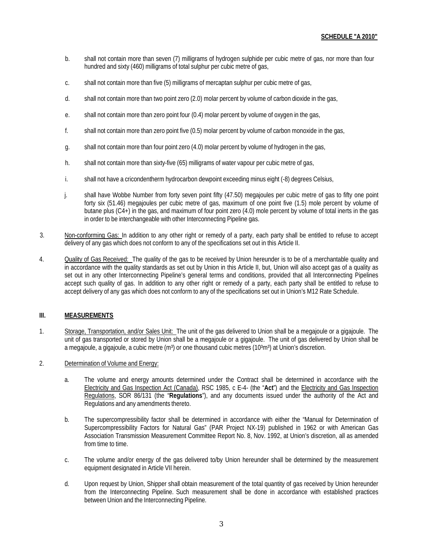- b. shall not contain more than seven (7) milligrams of hydrogen sulphide per cubic metre of gas, nor more than four hundred and sixty (460) milligrams of total sulphur per cubic metre of gas,
- c. shall not contain more than five (5) milligrams of mercaptan sulphur per cubic metre of gas,
- d. shall not contain more than two point zero (2.0) molar percent by volume of carbon dioxide in the gas,
- e. shall not contain more than zero point four (0.4) molar percent by volume of oxygen in the gas,
- f. shall not contain more than zero point five (0.5) molar percent by volume of carbon monoxide in the gas,
- g. shall not contain more than four point zero (4.0) molar percent by volume of hydrogen in the gas,
- h. shall not contain more than sixty-five (65) milligrams of water vapour per cubic metre of gas,
- i. shall not have a cricondentherm hydrocarbon dewpoint exceeding minus eight (-8) degrees Celsius,
- j. shall have Wobbe Number from forty seven point fifty (47.50) megajoules per cubic metre of gas to fifty one point forty six (51.46) megajoules per cubic metre of gas, maximum of one point five (1.5) mole percent by volume of butane plus (C4+) in the gas, and maximum of four point zero (4.0) mole percent by volume of total inerts in the gas in order to be interchangeable with other Interconnecting Pipeline gas.
- 3. Non-conforming Gas: In addition to any other right or remedy of a party, each party shall be entitled to refuse to accept delivery of any gas which does not conform to any of the specifications set out in this Article II.
- 4. Quality of Gas Received: The quality of the gas to be received by Union hereunder is to be of a merchantable quality and in accordance with the quality standards as set out by Union in this Article II, but, Union will also accept gas of a quality as set out in any other Interconnecting Pipeline's general terms and conditions, provided that all Interconnecting Pipelines accept such quality of gas. In addition to any other right or remedy of a party, each party shall be entitled to refuse to accept delivery of any gas which does not conform to any of the specifications set out in Union's M12 Rate Schedule.

## **III. MEASUREMENTS**

- 1. Storage, Transportation, and/or Sales Unit: The unit of the gas delivered to Union shall be a megajoule or a gigajoule. The unit of gas transported or stored by Union shall be a megajoule or a gigajoule. The unit of gas delivered by Union shall be a megajoule, a gigajoule, a cubic metre  $(m<sup>3</sup>)$  or one thousand cubic metres  $(10<sup>3</sup>m<sup>3</sup>)$  at Union's discretion.
- 2. Determination of Volume and Energy:
	- a. The volume and energy amounts determined under the Contract shall be determined in accordance with the Electricity and Gas Inspection Act (Canada), RSC 1985, c E-4- (the "**Act**") and the Electricity and Gas Inspection Regulations, SOR 86/131 (the "**Regulations**"), and any documents issued under the authority of the Act and Regulations and any amendments thereto.
	- b. The supercompressibility factor shall be determined in accordance with either the "Manual for Determination of Supercompressibility Factors for Natural Gas" (PAR Project NX-19) published in 1962 or with American Gas Association Transmission Measurement Committee Report No. 8, Nov. 1992, at Union's discretion, all as amended from time to time.
	- c. The volume and/or energy of the gas delivered to/by Union hereunder shall be determined by the measurement equipment designated in Article VII herein.
	- d. Upon request by Union, Shipper shall obtain measurement of the total quantity of gas received by Union hereunder from the Interconnecting Pipeline. Such measurement shall be done in accordance with established practices between Union and the Interconnecting Pipeline.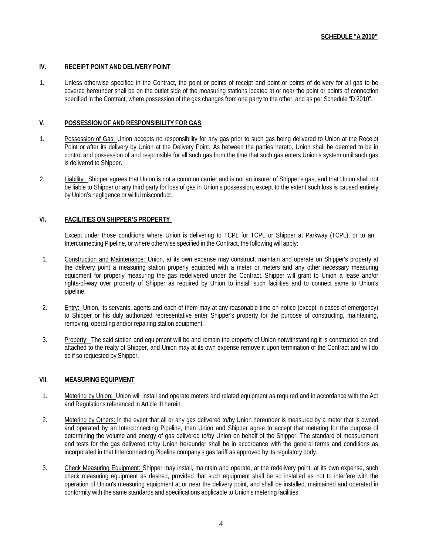### **IV. RECEIPT POINT AND DELIVERY POINT**

1. Unless otherwise specified in the Contract, the point or points of receipt and point or points of delivery for all gas to be covered hereunder shall be on the outlet side of the measuring stations located at or near the point or points of connection specified in the Contract, where possession of the gas changes from one party to the other, and as per Schedule "D 2010".

### **V. POSSESSION OF AND RESPONSIBILITY FOR GAS**

- 1. Possession of Gas: Union accepts no responsibility for any gas prior to such gas being delivered to Union at the Receipt Point or after its delivery by Union at the Delivery Point. As between the parties hereto, Union shall be deemed to be in control and possession of and responsible for all such gas from the time that such gas enters Union's system until such gas is delivered to Shipper.
- 2. Liability: Shipper agrees that Union is not a common carrier and is not an insurer of Shipper's gas, and that Union shall not be liable to Shipper or any third party for loss of gas in Union's possession, except to the extent such loss is caused entirely by Union's negligence or wilful misconduct.

# **VI. FACILITIES ON SHIPPER'S PROPERTY**

Except under those conditions where Union is delivering to TCPL for TCPL or Shipper at Parkway (TCPL), or to an Interconnecting Pipeline, or where otherwise specified in the Contract, the following will apply:

- 1. Construction and Maintenance: Union, at its own expense may construct, maintain and operate on Shipper's property at the delivery point a measuring station properly equipped with a meter or meters and any other necessary measuring equipment for properly measuring the gas redelivered under the Contract. Shipper will grant to Union a lease and/or rights-of-way over property of Shipper as required by Union to install such facilities and to connect same to Union's pipeline.
- 2. Entry: Union, its servants, agents and each of them may at any reasonable time on notice (except in cases of emergency) to Shipper or his duly authorized representative enter Shipper's property for the purpose of constructing, maintaining, removing, operating and/or repairing station equipment.
- 3. Property: The said station and equipment will be and remain the property of Union notwithstanding it is constructed on and attached to the realty of Shipper, and Union may at its own expense remove it upon termination of the Contract and will do so if so requested by Shipper.

### **VII. MEASURINGEQUIPMENT**

- 1. Metering by Union: Union will install and operate meters and related equipment as required and in accordance with the Act and Regulations referenced in Article III herein.
- 2. Metering by Others: In the event that all or any gas delivered to/by Union hereunder is measured by a meter that is owned and operated by an Interconnecting Pipeline, then Union and Shipper agree to accept that metering for the purpose of determining the volume and energy of gas delivered to/by Union on behalf of the Shipper. The standard of measurement and tests for the gas delivered to/by Union hereunder shall be in accordance with the general terms and conditions as incorporated in that Interconnecting Pipeline company's gas tariff as approved by its regulatory body.
- 3. Check Measuring Equipment: Shipper may install, maintain and operate, at the redelivery point, at its own expense, such check measuring equipment as desired, provided that such equipment shall be so installed as not to interfere with the operation of Union's measuring equipment at or near the delivery point, and shall be installed, maintained and operated in conformity with the same standards and specifications applicable to Union's metering facilities.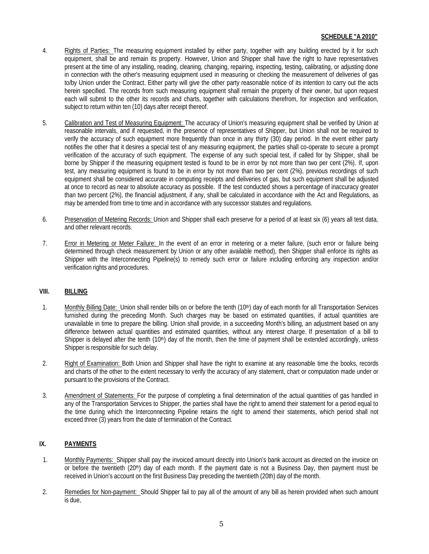- 4. Rights of Parties: The measuring equipment installed by either party, together with any building erected by it for such equipment, shall be and remain its property. However, Union and Shipper shall have the right to have representatives present at the time of any installing, reading, cleaning, changing, repairing, inspecting, testing, calibrating, or adjusting done in connection with the other's measuring equipment used in measuring or checking the measurement of deliveries of gas to/by Union under the Contract. Either party will give the other party reasonable notice of its intention to carry out the acts herein specified. The records from such measuring equipment shall remain the property of their owner, but upon request each will submit to the other its records and charts, together with calculations therefrom, for inspection and verification, subject to return within ten (10) days after receipt thereof.
- 5. Calibration and Test of Measuring Equipment: The accuracy of Union's measuring equipment shall be verified by Union at reasonable intervals, and if requested, in the presence of representatives of Shipper, but Union shall not be required to verify the accuracy of such equipment more frequently than once in any thirty (30) day period. In the event either party notifies the other that it desires a special test of any measuring equipment, the parties shall co-operate to secure a prompt verification of the accuracy of such equipment. The expense of any such special test, if called for by Shipper, shall be borne by Shipper if the measuring equipment tested is found to be in error by not more than two per cent (2%). If, upon test, any measuring equipment is found to be in error by not more than two per cent (2%), previous recordings of such equipment shall be considered accurate in computing receipts and deliveries of gas, but such equipment shall be adjusted at once to record as near to absolute accuracy as possible. If the test conducted shows a percentage of inaccuracy greater than two percent (2%), the financial adjustment, if any, shall be calculated in accordance with the Act and Regulations, as may be amended from time to time and in accordance with any successor statutes and regulations.
- 6. Preservation of Metering Records: Union and Shipper shall each preserve for a period of at least six (6) years all test data, and other relevant records.
- 7. Error in Metering or Meter Failure: In the event of an error in metering or a meter failure, (such error or failure being determined through check measurement by Union or any other available method), then Shipper shall enforce its rights as Shipper with the Interconnecting Pipeline(s) to remedy such error or failure including enforcing any inspection and/or verification rights and procedures.

### **VIII. BILLING**

- 1. Monthly Billing Date: Union shall render bills on or before the tenth (10<sup>th</sup>) day of each month for all Transportation Services furnished during the preceding Month. Such charges may be based on estimated quantities, if actual quantities are unavailable in time to prepare the billing. Union shall provide, in a succeeding Month's billing, an adjustment based on any difference between actual quantities and estimated quantities, without any interest charge. If presentation of a bill to Shipper is delayed after the tenth  $(10<sup>th</sup>)$  day of the month, then the time of payment shall be extended accordingly, unless Shipper is responsible for such delay.
- 2. Right of Examination: Both Union and Shipper shall have the right to examine at any reasonable time the books, records and charts of the other to the extent necessary to verify the accuracy of any statement, chart or computation made under or pursuant to the provisions of the Contract.
- 3. Amendment of Statements: For the purpose of completing a final determination of the actual quantities of gas handled in any of the Transportation Services to Shipper, the parties shall have the right to amend their statement for a period equal to the time during which the Interconnecting Pipeline retains the right to amend their statements, which period shall not exceed three (3) years from the date of termination of the Contract.

# **IX. PAYMENTS**

- 1. Monthly Payments: Shipper shall pay the invoiced amount directly into Union's bank account as directed on the invoice on or before the twentieth  $(20<sup>th</sup>)$  day of each month. If the payment date is not a Business Day, then payment must be received in Union's account on the first Business Day preceding the twentieth (20th) day of the month.
- 2. Remedies for Non-payment: Should Shipper fail to pay all of the amount of any bill as herein provided when such amount is due,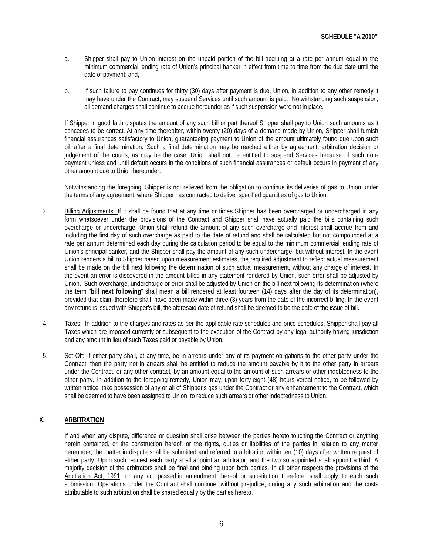- a. Shipper shall pay to Union interest on the unpaid portion of the bill accruing at a rate per annum equal to the minimum commercial lending rate of Union's principal banker in effect from time to time from the due date until the date of payment; and,
- b. If such failure to pay continues for thirty (30) days after payment is due, Union, in addition to any other remedy it may have under the Contract, may suspend Services until such amount is paid. Notwithstanding such suspension, all demand charges shall continue to accrue hereunder as if such suspension were not in place.

If Shipper in good faith disputes the amount of any such bill or part thereof Shipper shall pay to Union such amounts as it concedes to be correct. At any time thereafter, within twenty (20) days of a demand made by Union, Shipper shall furnish financial assurances satisfactory to Union, guaranteeing payment to Union of the amount ultimately found due upon such bill after a final determination. Such a final determination may be reached either by agreement, arbitration decision or judgement of the courts, as may be the case. Union shall not be entitled to suspend Services because of such nonpayment unless and until default occurs in the conditions of such financial assurances or default occurs in payment of any other amount due to Union hereunder.

Notwithstanding the foregoing, Shipper is not relieved from the obligation to continue its deliveries of gas to Union under the terms of any agreement, where Shipper has contracted to deliver specified quantities of gas to Union.

- 3. Billing Adjustments: If it shall be found that at any time or times Shipper has been overcharged or undercharged in any form whatsoever under the provisions of the Contract and Shipper shall have actually paid the bills containing such overcharge or undercharge, Union shall refund the amount of any such overcharge and interest shall accrue from and including the first day of such overcharge as paid to the date of refund and shall be calculated but not compounded at a rate per annum determined each day during the calculation period to be equal to the minimum commercial lending rate of Union's principal banker, and the Shipper shall pay the amount of any such undercharge, but without interest. In the event Union renders a bill to Shipper based upon measurement estimates, the required adjustment to reflect actual measurement shall be made on the bill next following the determination of such actual measurement, without any charge of interest. In the event an error is discovered in the amount billed in any statement rendered by Union, such error shall be adjusted by Union. Such overcharge, undercharge or error shall be adjusted by Union on the bill next following its determination (where the term "**bill next following**" shall mean a bill rendered at least fourteen (14) days after the day of its determination), provided that claim therefore shall have been made within three (3) years from the date of the incorrect billing. In the event any refund is issued with Shipper's bill, the aforesaid date of refund shall be deemed to be the date of the issue of bill.
- 4. Taxes: In addition to the charges and rates as per the applicable rate schedules and price schedules, Shipper shall pay all Taxes which are imposed currently or subsequent to the execution of the Contract by any legal authority having jurisdiction and any amount in lieu of such Taxes paid or payable by Union.
- 5. Set Off: If either party shall, at any time, be in arrears under any of its payment obligations to the other party under the Contract, then the party not in arrears shall be entitled to reduce the amount payable by it to the other party in arrears under the Contract, or any other contract, by an amount equal to the amount of such arrears or other indebtedness to the other party. In addition to the foregoing remedy, Union may, upon forty-eight (48) hours verbal notice, to be followed by written notice, take possession of any or all of Shipper's gas under the Contract or any enhancement to the Contract, which shall be deemed to have been assigned to Union, to reduce such arrears or other indebtedness to Union.

### **X. ARBITRATION**

If and when any dispute, difference or question shall arise between the parties hereto touching the Contract or anything herein contained, or the construction hereof, or the rights, duties or liabilities of the parties in relation to any matter hereunder, the matter in dispute shall be submitted and referred to arbitration within ten (10) days after written request of either party. Upon such request each party shall appoint an arbitrator, and the two so appointed shall appoint a third. A majority decision of the arbitrators shall be final and binding upon both parties. In all other respects the provisions of the Arbitration Act, 1991, or any act passed in amendment thereof or substitution therefore, shall apply to each such submission. Operations under the Contract shall continue, without prejudice, during any such arbitration and the costs attributable to such arbitration shall be shared equally by the parties hereto.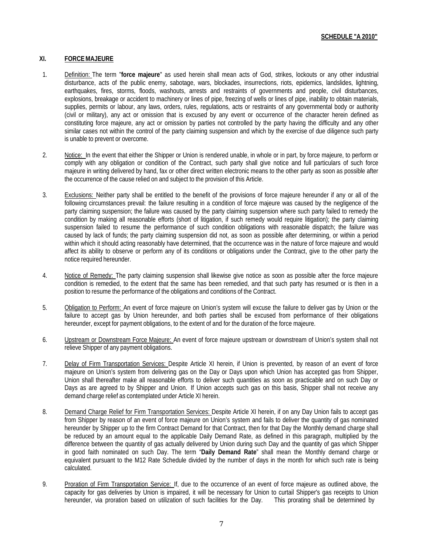### **XI. FORCEMAJEURE**

- 1. Definition: The term "**force majeure**" as used herein shall mean acts of God, strikes, lockouts or any other industrial disturbance, acts of the public enemy, sabotage, wars, blockades, insurrections, riots, epidemics, landslides, lightning, earthquakes, fires, storms, floods, washouts, arrests and restraints of governments and people, civil disturbances, explosions, breakage or accident to machinery or lines of pipe, freezing of wells or lines of pipe, inability to obtain materials, supplies, permits or labour, any laws, orders, rules, regulations, acts or restraints of any governmental body or authority (civil or military), any act or omission that is excused by any event or occurrence of the character herein defined as constituting force majeure, any act or omission by parties not controlled by the party having the difficulty and any other similar cases not within the control of the party claiming suspension and which by the exercise of due diligence such party is unable to prevent or overcome.
- 2. Notice: In the event that either the Shipper or Union is rendered unable, in whole or in part, by force majeure, to perform or comply with any obligation or condition of the Contract, such party shall give notice and full particulars of such force majeure in writing delivered by hand, fax or other direct written electronic means to the other party as soon as possible after the occurrence of the cause relied on and subject to the provision of this Article.
- 3. Exclusions: Neither party shall be entitled to the benefit of the provisions of force majeure hereunder if any or all of the following circumstances prevail: the failure resulting in a condition of force majeure was caused by the negligence of the party claiming suspension; the failure was caused by the party claiming suspension where such party failed to remedy the condition by making all reasonable efforts (short of litigation, if such remedy would require litigation); the party claiming suspension failed to resume the performance of such condition obligations with reasonable dispatch; the failure was caused by lack of funds; the party claiming suspension did not, as soon as possible after determining, or within a period within which it should acting reasonably have determined, that the occurrence was in the nature of force majeure and would affect its ability to observe or perform any of its conditions or obligations under the Contract, give to the other party the notice required hereunder.
- 4. Notice of Remedy: The party claiming suspension shall likewise give notice as soon as possible after the force majeure condition is remedied, to the extent that the same has been remedied, and that such party has resumed or is then in a position to resume the performance of the obligations and conditions of the Contract.
- 5. Obligation to Perform: An event of force majeure on Union's system will excuse the failure to deliver gas by Union or the failure to accept gas by Union hereunder, and both parties shall be excused from performance of their obligations hereunder, except for payment obligations, to the extent of and for the duration of the force majeure.
- 6. Upstream or Downstream Force Majeure: An event of force majeure upstream or downstream of Union's system shall not relieve Shipper of any payment obligations.
- 7. Delay of Firm Transportation Services: Despite Article XI herein, if Union is prevented, by reason of an event of force majeure on Union's system from delivering gas on the Day or Days upon which Union has accepted gas from Shipper, Union shall thereafter make all reasonable efforts to deliver such quantities as soon as practicable and on such Day or Days as are agreed to by Shipper and Union. If Union accepts such gas on this basis, Shipper shall not receive any demand charge relief as contemplated under Article XI herein.
- 8. Demand Charge Relief for Firm Transportation Services: Despite Article XI herein, if on any Day Union fails to accept gas from Shipper by reason of an event of force majeure on Union's system and fails to deliver the quantity of gas nominated hereunder by Shipper up to the firm Contract Demand for that Contract, then for that Day the Monthly demand charge shall be reduced by an amount equal to the applicable Daily Demand Rate, as defined in this paragraph, multiplied by the difference between the quantity of gas actually delivered by Union during such Day and the quantity of gas which Shipper in good faith nominated on such Day. The term "**Daily Demand Rate**" shall mean the Monthly demand charge or equivalent pursuant to the M12 Rate Schedule divided by the number of days in the month for which such rate is being calculated.
- 9. Proration of Firm Transportation Service: If, due to the occurrence of an event of force majeure as outlined above, the capacity for gas deliveries by Union is impaired, it will be necessary for Union to curtail Shipper's gas receipts to Union hereunder, via proration based on utilization of such facilities for the Day. This prorating shall be determined by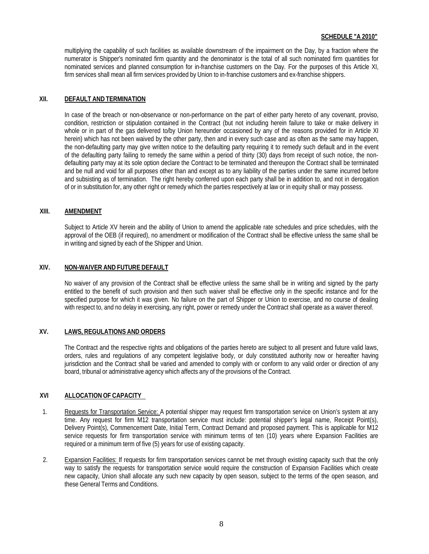multiplying the capability of such facilities as available downstream of the impairment on the Day, by a fraction where the numerator is Shipper's nominated firm quantity and the denominator is the total of all such nominated firm quantities for nominated services and planned consumption for in-franchise customers on the Day. For the purposes of this Article XI, firm services shall mean all firm services provided by Union to in-franchise customers and ex-franchise shippers.

#### **XII. DEFAULT AND TERMINATION**

In case of the breach or non-observance or non-performance on the part of either party hereto of any covenant, proviso, condition, restriction or stipulation contained in the Contract (but not including herein failure to take or make delivery in whole or in part of the gas delivered to/by Union hereunder occasioned by any of the reasons provided for in Article XI herein) which has not been waived by the other party, then and in every such case and as often as the same may happen, the non-defaulting party may give written notice to the defaulting party requiring it to remedy such default and in the event of the defaulting party failing to remedy the same within a period of thirty (30) days from receipt of such notice, the nondefaulting party may at its sole option declare the Contract to be terminated and thereupon the Contract shall be terminated and be null and void for all purposes other than and except as to any liability of the parties under the same incurred before and subsisting as of termination. The right hereby conferred upon each party shall be in addition to, and not in derogation of or in substitution for, any other right or remedy which the parties respectively at law or in equity shall or may possess.

#### **XIII. AMENDMENT**

Subject to Article XV herein and the ability of Union to amend the applicable rate schedules and price schedules, with the approval of the OEB (if required), no amendment or modification of the Contract shall be effective unless the same shall be in writing and signed by each of the Shipper and Union.

## **XIV. NON-WAIVER AND FUTURE DEFAULT**

No waiver of any provision of the Contract shall be effective unless the same shall be in writing and signed by the party entitled to the benefit of such provision and then such waiver shall be effective only in the specific instance and for the specified purpose for which it was given. No failure on the part of Shipper or Union to exercise, and no course of dealing with respect to, and no delay in exercising, any right, power or remedy under the Contract shall operate as a waiver thereof.

### **XV. LAWS, REGULATIONS AND ORDERS**

The Contract and the respective rights and obligations of the parties hereto are subject to all present and future valid laws, orders, rules and regulations of any competent legislative body, or duly constituted authority now or hereafter having jurisdiction and the Contract shall be varied and amended to comply with or conform to any valid order or direction of any board, tribunal or administrative agency which affects any of the provisions of the Contract.

### **XVI ALLOCATION OF CAPACITY**

- 1. Requests for Transportation Service: A potential shipper may request firm transportation service on Union's system at any time. Any request for firm M12 transportation service must include: potential shipper's legal name, Receipt Point(s), Delivery Point(s), Commencement Date, Initial Term, Contract Demand and proposed payment. This is applicable for M12 service requests for firm transportation service with minimum terms of ten (10) years where Expansion Facilities are required or a minimum term of five (5) years for use of existing capacity.
- 2. Expansion Facilities: If requests for firm transportation services cannot be met through existing capacity such that the only way to satisfy the requests for transportation service would require the construction of Expansion Facilities which create new capacity, Union shall allocate any such new capacity by open season, subject to the terms of the open season, and these General Terms and Conditions.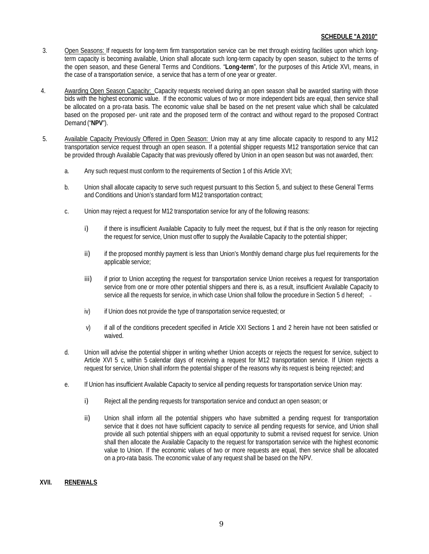- 3. Open Seasons: If requests for long-term firm transportation service can be met through existing facilities upon which longterm capacity is becoming available, Union shall allocate such long-term capacity by open season, subject to the terms of the open season, and these General Terms and Conditions. "**Long-term**", for the purposes of this Article XVI, means, in the case of a transportation service, a service that has a term of one year or greater.
- 4. Awarding Open Season Capacity: Capacity requests received during an open season shall be awarded starting with those bids with the highest economic value. If the economic values of two or more independent bids are equal, then service shall be allocated on a pro-rata basis. The economic value shall be based on the net present value which shall be calculated based on the proposed per- unit rate and the proposed term of the contract and without regard to the proposed Contract Demand ("**NPV**").
- 5. Available Capacity Previously Offered in Open Season: Union may at any time allocate capacity to respond to any M12 transportation service request through an open season. If a potential shipper requests M12 transportation service that can be provided through Available Capacity that was previously offered by Union in an open season but was not awarded, then:
	- a. Any such request must conform to the requirements of Section 1 of this Article XVI;
	- b. Union shall allocate capacity to serve such request pursuant to this Section 5, and subject to these General Terms and Conditions and Union's standard form M12 transportation contract;
	- c. Union may reject a request for M12 transportation service for any of the following reasons:
		- i) if there is insufficient Available Capacity to fully meet the request, but if that is the only reason for rejecting the request for service, Union must offer to supply the Available Capacity to the potential shipper;
		- ii) if the proposed monthly payment is less than Union's Monthly demand charge plus fuel requirements for the applicable service;
		- iii) if prior to Union accepting the request for transportation service Union receives a request for transportation service from one or more other potential shippers and there is, as a result, insufficient Available Capacity to service all the requests for service, in which case Union shall follow the procedure in Section 5 d hereof; -
		- iv) if Union does not provide the type of transportation service requested; or
		- v) if all of the conditions precedent specified in Article XXI Sections 1 and 2 herein have not been satisfied or waived.
	- d. Union will advise the potential shipper in writing whether Union accepts or rejects the request for service, subject to Article XVI 5 c, within 5 calendar days of receiving a request for M12 transportation service. If Union rejects a request for service, Union shall inform the potential shipper of the reasons why its request is being rejected; and
	- e. If Union has insufficient Available Capacity to service all pending requests for transportation service Union may:
		- i) Reject all the pending requests for transportation service and conduct an open season; or
		- ii) Union shall inform all the potential shippers who have submitted a pending request for transportation service that it does not have sufficient capacity to service all pending requests for service, and Union shall provide all such potential shippers with an equal opportunity to submit a revised request for service. Union shall then allocate the Available Capacity to the request for transportation service with the highest economic value to Union. If the economic values of two or more requests are equal, then service shall be allocated on a pro-rata basis. The economic value of any request shall be based on the NPV.

### **XVII. RENEWALS**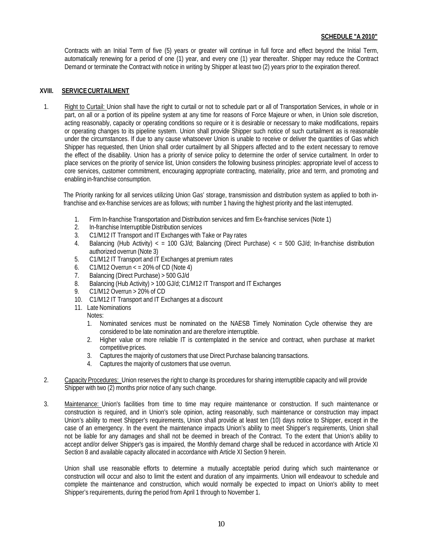Contracts with an Initial Term of five (5) years or greater will continue in full force and effect beyond the Initial Term, automatically renewing for a period of one (1) year, and every one (1) year thereafter. Shipper may reduce the Contract Demand or terminate the Contract with notice in writing by Shipper at least two (2) years prior to the expiration thereof.

### **XVIII. SERVICECURTAILMENT**

1. Right to Curtail: Union shall have the right to curtail or not to schedule part or all of Transportation Services, in whole or in part, on all or a portion of its pipeline system at any time for reasons of Force Majeure or when, in Union sole discretion, acting reasonably, capacity or operating conditions so require or it is desirable or necessary to make modifications, repairs or operating changes to its pipeline system. Union shall provide Shipper such notice of such curtailment as is reasonable under the circumstances. If due to any cause whatsoever Union is unable to receive or deliver the quantities of Gas which Shipper has requested, then Union shall order curtailment by all Shippers affected and to the extent necessary to remove the effect of the disability. Union has a priority of service policy to determine the order of service curtailment. In order to place services on the priority of service list, Union considers the following business principles: appropriate level of access to core services, customer commitment, encouraging appropriate contracting, materiality, price and term, and promoting and enabling in-franchise consumption.

The Priority ranking for all services utilizing Union Gas' storage, transmission and distribution system as applied to both infranchise and ex-franchise services are as follows; with number 1 having the highest priority and the last interrupted.

- 1. Firm In-franchise Transportation and Distribution services and firm Ex-franchise services (Note 1)
- 2. In-franchise Interruptible Distribution services
- 3. C1/M12 IT Transport and IT Exchanges with Take or Pay rates
- 4. Balancing (Hub Activity) < = 100 GJ/d; Balancing (Direct Purchase) < = 500 GJ/d; In-franchise distribution authorized overrun (Note 3)
- 5. C1/M12 IT Transport and IT Exchanges at premium rates
- 6.  $C1/M12$  Overrun  $\lt$  = 20% of CD (Note 4)
- 7. Balancing (Direct Purchase) > 500 GJ/d
- 8. Balancing (Hub Activity) > 100 GJ/d; C1/M12 IT Transport and IT Exchanges
- 9. C1/M12 Overrun > 20% of CD
- 10. C1/M12 IT Transport and IT Exchanges at a discount
- 11. Late Nominations
- Notes: 1. Nominated services must be nominated on the NAESB Timely Nomination Cycle otherwise they are
	- considered to be late nomination and are therefore interruptible. 2. Higher value or more reliable IT is contemplated in the service and contract, when purchase at market competitive prices.
	- 3. Captures the majority of customers that use Direct Purchase balancing transactions.
	- 4. Captures the majority of customers that use overrun.
- 2. Capacity Procedures: Union reserves the right to change its procedures for sharing interruptible capacity and will provide Shipper with two (2) months prior notice of any such change.
- 3. Maintenance: Union's facilities from time to time may require maintenance or construction. If such maintenance or construction is required, and in Union's sole opinion, acting reasonably, such maintenance or construction may impact Union's ability to meet Shipper's requirements, Union shall provide at least ten (10) days notice to Shipper, except in the case of an emergency. In the event the maintenance impacts Union's ability to meet Shipper's requirements, Union shall not be liable for any damages and shall not be deemed in breach of the Contract. To the extent that Union's ability to accept and/or deliver Shipper's gas is impaired, the Monthly demand charge shall be reduced in accordance with Article XI Section 8 and available capacity allocated in accordance with Article XI Section 9 herein.

Union shall use reasonable efforts to determine a mutually acceptable period during which such maintenance or construction will occur and also to limit the extent and duration of any impairments. Union will endeavour to schedule and complete the maintenance and construction, which would normally be expected to impact on Union's ability to meet Shipper's requirements, during the period from April 1 through to November 1.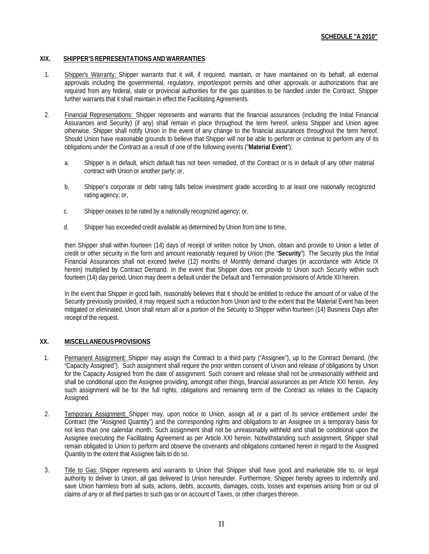### **XIX. SHIPPER'S REPRESENTATIONS AND WARRANTIES**

- 1. Shipper's Warranty: Shipper warrants that it will, if required, maintain, or have maintained on its behalf, all external approvals including the governmental, regulatory, import/export permits and other approvals or authorizations that are required from any federal, state or provincial authorities for the gas quantities to be handled under the Contract. Shipper further warrants that it shall maintain in effect the Facilitating Agreements.
- 2. Financial Representations: Shipper represents and warrants that the financial assurances (including the Initial Financial Assurances and Security) (if any) shall remain in place throughout the term hereof, unless Shipper and Union agree otherwise. Shipper shall notify Union in the event of any change to the financial assurances throughout the term hereof. Should Union have reasonable grounds to believe that Shipper will not be able to perform or continue to perform any of its obligations under the Contract as a result of one of the following events ("**Material Event**");
	- a. Shipper is in default, which default has not been remedied, of the Contract or is in default of any other material contract with Union or another party; or,
	- b. Shipper's corporate or debt rating falls below investment grade according to at least one nationally recognized rating agency; or,
	- c. Shipper ceases to be rated by a nationally recognized agency; or,
	- d. Shipper has exceeded credit available as determined by Union from time to time,

then Shipper shall within fourteen (14) days of receipt of written notice by Union, obtain and provide to Union a letter of credit or other security in the form and amount reasonably required by Union (the "**Security**"). The Security plus the Initial Financial Assurances shall not exceed twelve (12) months of Monthly demand charges (in accordance with Article IX herein) multiplied by Contract Demand. In the event that Shipper does not provide to Union such Security within such fourteen (14) day period, Union may deem a default under the Default and Termination provisions of Article XII herein.

In the event that Shipper in good faith, reasonably believes that it should be entitled to reduce the amount of or value of the Security previously provided, it may request such a reduction from Union and to the extent that the Material Event has been mitigated or eliminated, Union shall return all or a portion of the Security to Shipper within fourteen (14) Business Days after receipt of the request.

### **XX. MISCELLANEOUSPROVISIONS**

- 1. Permanent Assignment: Shipper may assign the Contract to a third party ("Assignee"), up to the Contract Demand, (the "Capacity Assigned"). Such assignment shall require the prior written consent of Union and release of obligations by Union for the Capacity Assigned from the date of assignment. Such consent and release shall not be unreasonably withheld and shall be conditional upon the Assignee providing, amongst other things, financial assurances as per Article XXI herein. Any such assignment will be for the full rights, obligations and remaining term of the Contract as relates to the Capacity Assigned.
- 2. Temporary Assignment: Shipper may, upon notice to Union, assign all or a part of its service entitlement under the Contract (the "Assigned Quantity") and the corresponding rights and obligations to an Assignee on a temporary basis for not less than one calendar month. Such assignment shall not be unreasonably withheld and shall be conditional upon the Assignee executing the Facilitating Agreement as per Article XXI herein. Notwithstanding such assignment, Shipper shall remain obligated to Union to perform and observe the covenants and obligations contained herein in regard to the Assigned Quantity to the extent that Assignee fails to do so.
- 3. Title to Gas: Shipper represents and warrants to Union that Shipper shall have good and marketable title to, or legal authority to deliver to Union, all gas delivered to Union hereunder. Furthermore, Shipper hereby agrees to indemnify and save Union harmless from all suits, actions, debts, accounts, damages, costs, losses and expenses arising from or out of claims of any or all third parties to such gas or on account of Taxes, or other charges thereon.